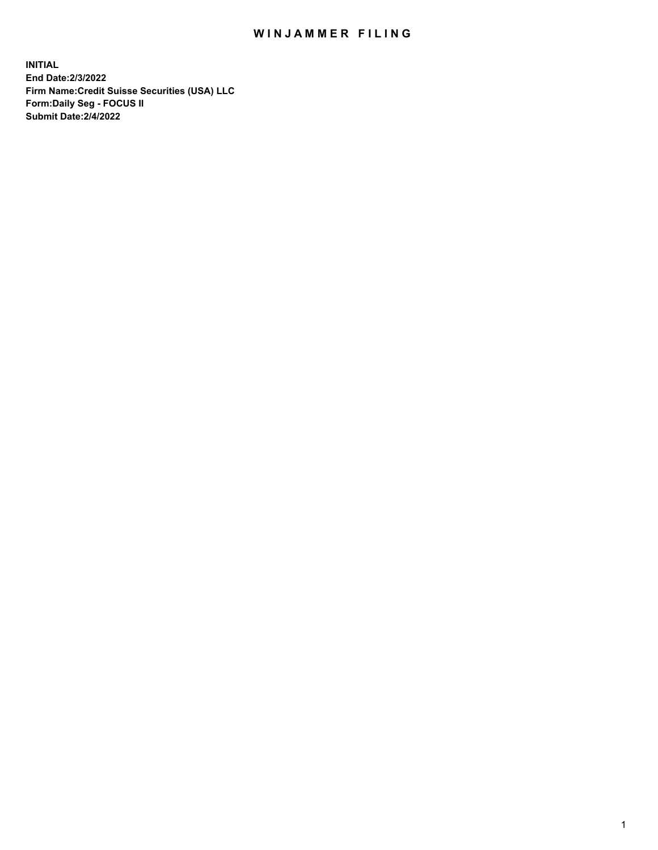# WIN JAMMER FILING

**INITIAL End Date:2/3/2022 Firm Name:Credit Suisse Securities (USA) LLC Form:Daily Seg - FOCUS II Submit Date:2/4/2022**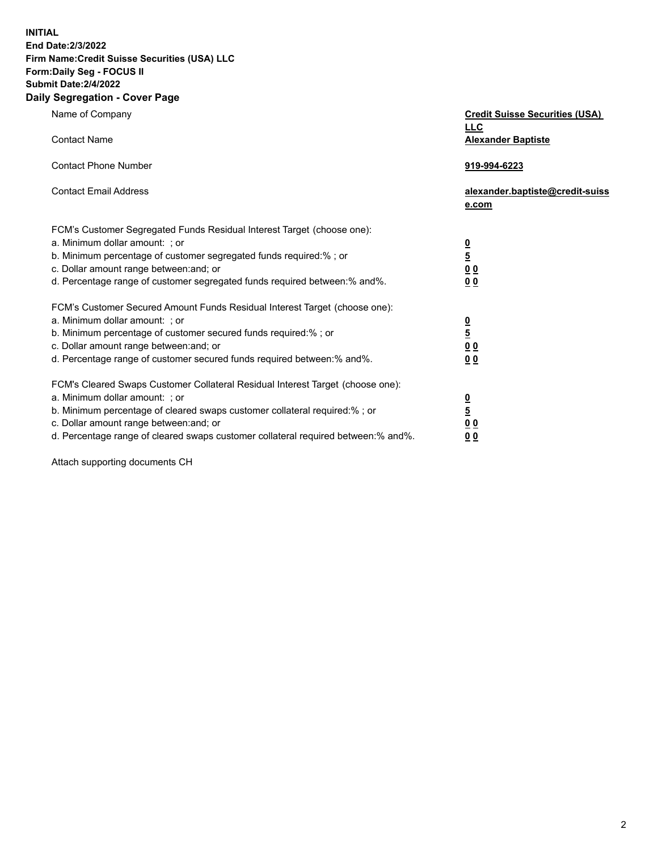**INITIAL** 

#### **End Date:2/3/2022 Firm Name:Credit Suisse Securities (USA) LLC Form:Daily Seg - FOCUS II**

# **Submit Date:2/4/2022**

#### **Daily Segregation - Cover Page**

| Name of Company                                                                   | <b>Credit Suisse Securities (USA)</b>    |
|-----------------------------------------------------------------------------------|------------------------------------------|
|                                                                                   | <b>LLC</b>                               |
| <b>Contact Name</b>                                                               | <b>Alexander Baptiste</b>                |
| <b>Contact Phone Number</b>                                                       | 919-994-6223                             |
| <b>Contact Email Address</b>                                                      | alexander.baptiste@credit-suiss<br>e.com |
| FCM's Customer Segregated Funds Residual Interest Target (choose one):            |                                          |
| a. Minimum dollar amount: ; or                                                    |                                          |
| b. Minimum percentage of customer segregated funds required:% ; or                | $\frac{0}{5}$                            |
| c. Dollar amount range between: and; or                                           | 0 <sub>0</sub>                           |
| d. Percentage range of customer segregated funds required between: % and %.       | 0 <sub>0</sub>                           |
| FCM's Customer Secured Amount Funds Residual Interest Target (choose one):        |                                          |
| a. Minimum dollar amount: ; or                                                    |                                          |
| b. Minimum percentage of customer secured funds required:%; or                    | $\frac{0}{5}$                            |
| c. Dollar amount range between: and; or                                           | 0 <sub>0</sub>                           |
| d. Percentage range of customer secured funds required between:% and%.            | 00                                       |
| FCM's Cleared Swaps Customer Collateral Residual Interest Target (choose one):    |                                          |
| a. Minimum dollar amount: ; or                                                    |                                          |
| b. Minimum percentage of cleared swaps customer collateral required:% ; or        | $\frac{0}{5}$                            |
| c. Dollar amount range between: and; or                                           | 0 <sub>0</sub>                           |
| d. Percentage range of cleared swaps customer collateral required between:% and%. | 0 <sub>0</sub>                           |

Attach supporting documents CH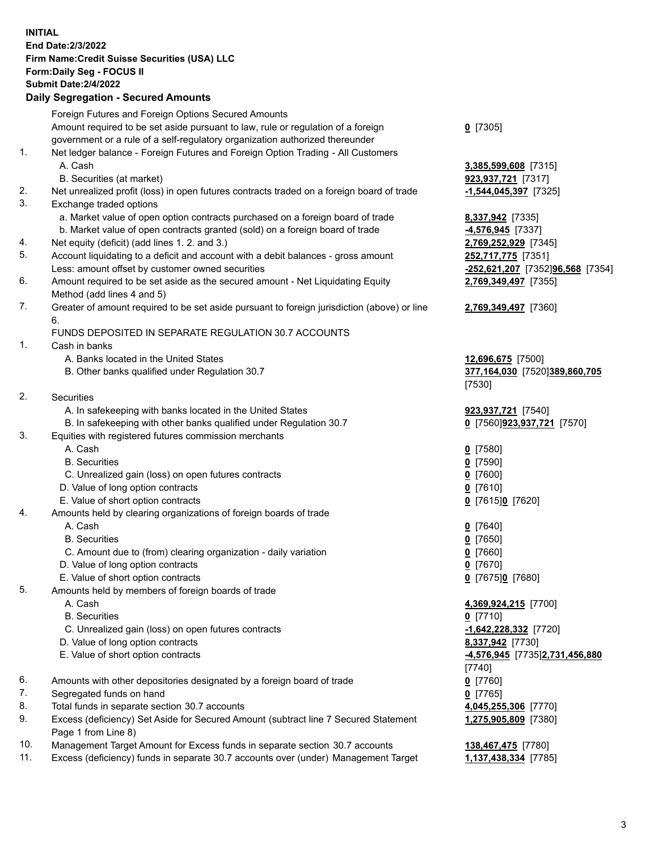**INITIAL End Date:2/3/2022 Firm Name:Credit Suisse Securities (USA) LLC Form:Daily Seg - FOCUS II Submit Date:2/4/2022** 

### **Daily Segregation - Secured Amounts**

|     | Foreign Futures and Foreign Options Secured Amounts                                         |                                  |
|-----|---------------------------------------------------------------------------------------------|----------------------------------|
|     | Amount required to be set aside pursuant to law, rule or regulation of a foreign            | $0$ [7305]                       |
|     | government or a rule of a self-regulatory organization authorized thereunder                |                                  |
| 1.  | Net ledger balance - Foreign Futures and Foreign Option Trading - All Customers             |                                  |
|     | A. Cash                                                                                     | 3,385,599,608 [7315]             |
|     | B. Securities (at market)                                                                   | 923,937,721 [7317]               |
| 2.  | Net unrealized profit (loss) in open futures contracts traded on a foreign board of trade   | $-1,544,045,397$ [7325]          |
| 3.  | Exchange traded options                                                                     |                                  |
|     | a. Market value of open option contracts purchased on a foreign board of trade              | 8,337,942 [7335]                 |
|     | b. Market value of open contracts granted (sold) on a foreign board of trade                | 4,576,945 [7337]                 |
| 4.  | Net equity (deficit) (add lines 1. 2. and 3.)                                               | 2,769,252,929 [7345]             |
| 5.  | Account liquidating to a deficit and account with a debit balances - gross amount           | 252,717,775 [7351]               |
|     |                                                                                             |                                  |
| 6.  | Less: amount offset by customer owned securities                                            | -252,621,207 [7352]96,568 [7354] |
|     | Amount required to be set aside as the secured amount - Net Liquidating Equity              | 2,769,349,497 [7355]             |
|     | Method (add lines 4 and 5)                                                                  |                                  |
| 7.  | Greater of amount required to be set aside pursuant to foreign jurisdiction (above) or line | 2,769,349,497 [7360]             |
|     | 6.                                                                                          |                                  |
|     | FUNDS DEPOSITED IN SEPARATE REGULATION 30.7 ACCOUNTS                                        |                                  |
| 1.  | Cash in banks                                                                               |                                  |
|     | A. Banks located in the United States                                                       | 12,696,675 [7500]                |
|     | B. Other banks qualified under Regulation 30.7                                              | 377,164,030 [7520]389,860,705    |
|     |                                                                                             | [7530]                           |
| 2.  | Securities                                                                                  |                                  |
|     | A. In safekeeping with banks located in the United States                                   | 923,937,721 [7540]               |
|     | B. In safekeeping with other banks qualified under Regulation 30.7                          | 0 [7560] 923, 937, 721 [7570]    |
| 3.  | Equities with registered futures commission merchants                                       |                                  |
|     | A. Cash                                                                                     | $0$ [7580]                       |
|     | <b>B.</b> Securities                                                                        | $0$ [7590]                       |
|     | C. Unrealized gain (loss) on open futures contracts                                         | $Q$ [7600]                       |
|     | D. Value of long option contracts                                                           | $0$ [7610]                       |
|     | E. Value of short option contracts                                                          | 0 [7615]0 [7620]                 |
| 4.  | Amounts held by clearing organizations of foreign boards of trade                           |                                  |
|     | A. Cash                                                                                     | $0$ [7640]                       |
|     | <b>B.</b> Securities                                                                        | $0$ [7650]                       |
|     | C. Amount due to (from) clearing organization - daily variation                             | $0$ [7660]                       |
|     | D. Value of long option contracts                                                           | $0$ [7670]                       |
|     | E. Value of short option contracts                                                          | 0 [7675]0 [7680]                 |
| 5.  | Amounts held by members of foreign boards of trade                                          |                                  |
|     | A. Cash                                                                                     | 4,369,924,215 [7700]             |
|     | <b>B.</b> Securities                                                                        | $0$ [7710]                       |
|     | C. Unrealized gain (loss) on open futures contracts                                         | -1,642,228,332 [7720]            |
|     | D. Value of long option contracts                                                           | 8,337,942 [7730]                 |
|     | E. Value of short option contracts                                                          | -4,576,945 [7735]2,731,456,880   |
|     |                                                                                             | [7740]                           |
| 6.  | Amounts with other depositories designated by a foreign board of trade                      | $0$ [7760]                       |
| 7.  | Segregated funds on hand                                                                    | $0$ [7765]                       |
| 8.  | Total funds in separate section 30.7 accounts                                               | 4,045,255,306 [7770]             |
| 9.  | Excess (deficiency) Set Aside for Secured Amount (subtract line 7 Secured Statement         | 1,275,905,809 [7380]             |
|     | Page 1 from Line 8)                                                                         |                                  |
| 10. | Management Target Amount for Excess funds in separate section 30.7 accounts                 | 138,467,475 [7780]               |
| 11. | Excess (deficiency) funds in separate 30.7 accounts over (under) Management Target          | 1,137,438,334 [7785]             |
|     |                                                                                             |                                  |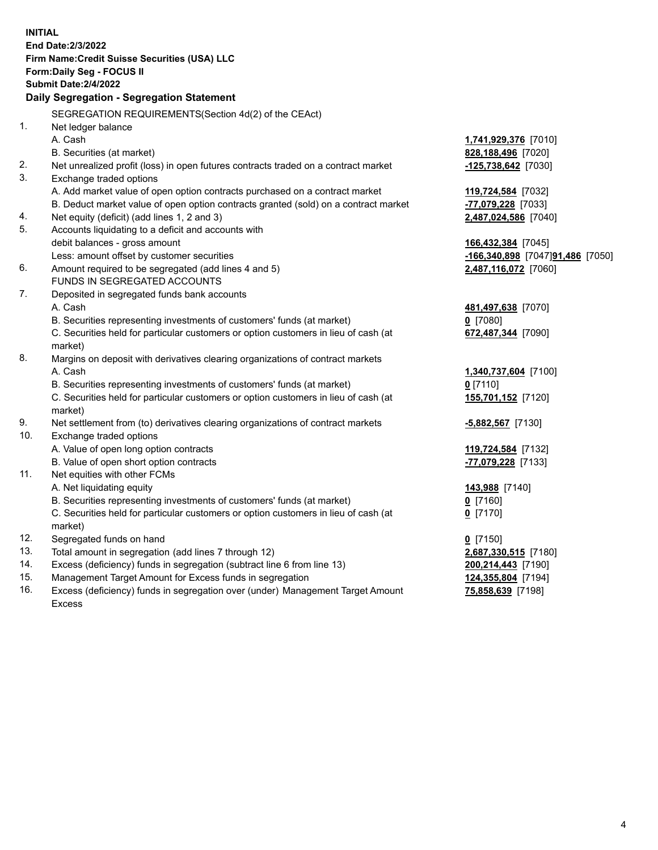| <b>INITIAL</b> |                                                                                     |                                  |
|----------------|-------------------------------------------------------------------------------------|----------------------------------|
|                | End Date: 2/3/2022                                                                  |                                  |
|                | Firm Name: Credit Suisse Securities (USA) LLC                                       |                                  |
|                | Form: Daily Seg - FOCUS II                                                          |                                  |
|                | <b>Submit Date: 2/4/2022</b>                                                        |                                  |
|                | Daily Segregation - Segregation Statement                                           |                                  |
|                | SEGREGATION REQUIREMENTS(Section 4d(2) of the CEAct)                                |                                  |
| 1.             | Net ledger balance                                                                  |                                  |
|                | A. Cash                                                                             | 1,741,929,376 [7010]             |
|                | B. Securities (at market)                                                           | 828,188,496 [7020]               |
| 2.             | Net unrealized profit (loss) in open futures contracts traded on a contract market  | $-125,738,642$ [7030]            |
| 3.             | Exchange traded options                                                             |                                  |
|                | A. Add market value of open option contracts purchased on a contract market         |                                  |
|                |                                                                                     | 119,724,584 [7032]               |
|                | B. Deduct market value of open option contracts granted (sold) on a contract market | -77,079,228 [7033]               |
| 4.<br>5.       | Net equity (deficit) (add lines 1, 2 and 3)                                         | 2,487,024,586 [7040]             |
|                | Accounts liquidating to a deficit and accounts with                                 |                                  |
|                | debit balances - gross amount                                                       | 166,432,384 [7045]               |
|                | Less: amount offset by customer securities                                          | -166,340,898 [7047]91,486 [7050] |
| 6.             | Amount required to be segregated (add lines 4 and 5)                                | 2,487,116,072 [7060]             |
|                | FUNDS IN SEGREGATED ACCOUNTS                                                        |                                  |
| 7.             | Deposited in segregated funds bank accounts                                         |                                  |
|                | A. Cash                                                                             | 481,497,638 [7070]               |
|                | B. Securities representing investments of customers' funds (at market)              | $0$ [7080]                       |
|                | C. Securities held for particular customers or option customers in lieu of cash (at | 672,487,344 [7090]               |
|                | market)                                                                             |                                  |
| 8.             | Margins on deposit with derivatives clearing organizations of contract markets      |                                  |
|                | A. Cash                                                                             | 1,340,737,604 [7100]             |
|                | B. Securities representing investments of customers' funds (at market)              | $0$ [7110]                       |
|                | C. Securities held for particular customers or option customers in lieu of cash (at | 155,701,152 [7120]               |
|                | market)                                                                             |                                  |
| 9.             | Net settlement from (to) derivatives clearing organizations of contract markets     | $-5,882,567$ [7130]              |
| 10.            | Exchange traded options                                                             |                                  |
|                | A. Value of open long option contracts                                              | 119,724,584 [7132]               |
|                | B. Value of open short option contracts                                             | -77,079,228 [7133]               |
| 11.            | Net equities with other FCMs                                                        |                                  |
|                | A. Net liquidating equity                                                           | 143,988 [7140]                   |
|                | B. Securities representing investments of customers' funds (at market)              | 0 [7160]                         |
|                | C. Securities held for particular customers or option customers in lieu of cash (at | $0$ [7170]                       |
|                | market)                                                                             |                                  |
| 12.            | Segregated funds on hand                                                            | $0$ [7150]                       |
| 13.            | Total amount in segregation (add lines 7 through 12)                                | 2,687,330,515 [7180]             |
| 14.            | Excess (deficiency) funds in segregation (subtract line 6 from line 13)             | 200,214,443 [7190]               |
| 15.            | Management Target Amount for Excess funds in segregation                            | 124,355,804 [7194]               |
| 16.            | Excess (deficiency) funds in segregation over (under) Management Target Amount      | 75,858,639 [7198]                |
|                | Excess                                                                              |                                  |